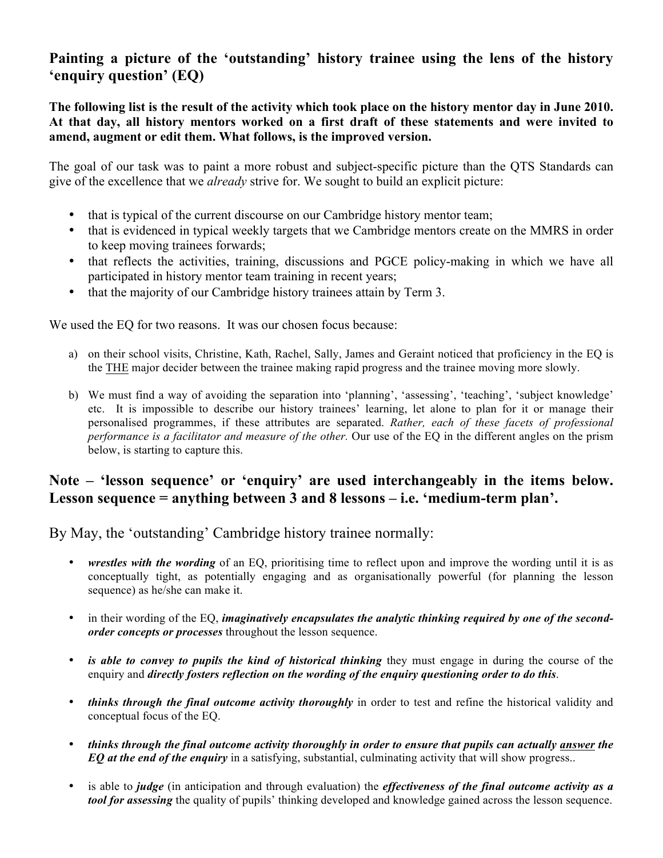## **Painting a picture of the 'outstanding' history trainee using the lens of the history 'enquiry question' (EQ)**

**The following list is the result of the activity which took place on the history mentor day in June 2010. At that day, all history mentors worked on a first draft of these statements and were invited to amend, augment or edit them. What follows, is the improved version.**

The goal of our task was to paint a more robust and subject-specific picture than the QTS Standards can give of the excellence that we *already* strive for. We sought to build an explicit picture:

- that is typical of the current discourse on our Cambridge history mentor team;
- that is evidenced in typical weekly targets that we Cambridge mentors create on the MMRS in order to keep moving trainees forwards;
- that reflects the activities, training, discussions and PGCE policy-making in which we have all participated in history mentor team training in recent years;
- that the majority of our Cambridge history trainees attain by Term 3.

We used the EQ for two reasons. It was our chosen focus because:

- a) on their school visits, Christine, Kath, Rachel, Sally, James and Geraint noticed that proficiency in the EQ is the THE major decider between the trainee making rapid progress and the trainee moving more slowly.
- b) We must find a way of avoiding the separation into 'planning', 'assessing', 'teaching', 'subject knowledge' etc. It is impossible to describe our history trainees' learning, let alone to plan for it or manage their personalised programmes, if these attributes are separated. *Rather, each of these facets of professional performance is a facilitator and measure of the other.* Our use of the EQ in the different angles on the prism below, is starting to capture this.

## **Note – 'lesson sequence' or 'enquiry' are used interchangeably in the items below. Lesson sequence = anything between 3 and 8 lessons – i.e. 'medium-term plan'.**

By May, the 'outstanding' Cambridge history trainee normally:

- *wrestles with the wording* of an EQ, prioritising time to reflect upon and improve the wording until it is as conceptually tight, as potentially engaging and as organisationally powerful (for planning the lesson sequence) as he/she can make it.
- in their wording of the EQ, *imaginatively encapsulates the analytic thinking required by one of the secondorder concepts or processes* throughout the lesson sequence.
- *is able to convey to pupils the kind of historical thinking* they must engage in during the course of the enquiry and *directly fosters reflection on the wording of the enquiry questioning order to do this*.
- *thinks through the final outcome activity thoroughly* in order to test and refine the historical validity and conceptual focus of the EQ.
- *thinks through the final outcome activity thoroughly in order to ensure that pupils can actually answer the EQ at the end of the enquiry* in a satisfying, substantial, culminating activity that will show progress..
- is able to *judge* (in anticipation and through evaluation) the *effectiveness of the final outcome activity as a tool for assessing* the quality of pupils' thinking developed and knowledge gained across the lesson sequence.